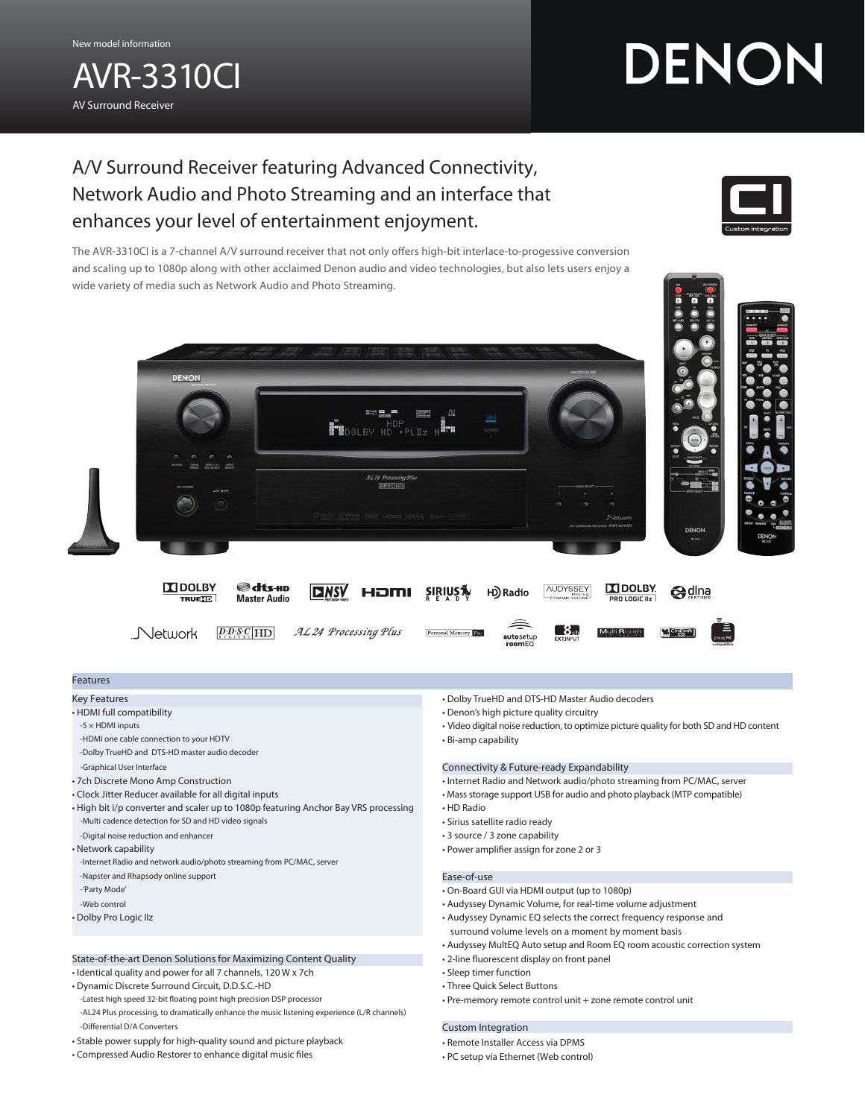New model information

AVR-3310CI

AV Surround Receiver

DENON

# A/V Surround Receiver featuring Advanced Connectivity, Network Audio and Photo Streaming and an interface that enhances your level of entertainment enjoyment.



The AVR-3310CI is a 7-channel A/V surround receiver that not only offers high-bit interlace-to-progessive conversion and scaling up to 1080p along with other acclaimed Denon audio and video technologies, but also lets users enjoy a wide variety of media such as Network Audio and Photo Streaming.



# Features

## Key Features

- HDMI full compatibility
- -5 × HDMI inputs
- -HDMI one cable connection to your HDTV
- -Dolby TrueHD and DTS-HD master audio decoder -Graphical User Interface
- 
- 7ch Discrete Mono Amp Construction
- Clock Jitter Reducer available for all digital inputs
- High bit i/p converter and scaler up to 1080p featuring Anchor Bay VRS processing -Multi cadence detection for SD and HD video signals -Digital noise reduction and enhancer
- Network capability
- -Internet Radio and network audio/photo streaming from PC/MAC, server
- -Napster and Rhapsody online support
- -'Party Mode'
- -Web control
- Dolby Pro Logic IIz

# State-of-the-art Denon Solutions for Maximizing Content Quality

- Identical quality and power for all 7 channels, 120 W x 7ch
- Dynamic Discrete Surround Circuit, D.D.S.C.-HD
- -Latest high speed 32-bit floating point high precision DSP processor
- -AL24 Plus processing, to dramatically enhance the music listening experience (L/R channels) -Differential D/A Converters
- Stable power supply for high-quality sound and picture playback
- Compressed Audio Restorer to enhance digital music files
- Dolby TrueHD and DTS-HD Master Audio decoders
- Denon's high picture quality circuitry
- Video digital noise reduction, to optimize picture quality for both SD and HD content
- Bi-amp capability

# Connectivity & Future-ready Expandability

- Internet Radio and Network audio/photo streaming from PC/MAC, server
- Mass storage support USB for audio and photo playback (MTP compatible)
- HD Radio
- Sirius satellite radio ready
- 3 source / 3 zone capability
- Power amplifier assign for zone 2 or 3

## Ease-of-use

- On-Board GUI via HDMI output (up to 1080p)
- Audyssey Dynamic Volume, for real-time volume adjustment
- Audyssey Dynamic EQ selects the correct frequency response and surround volume levels on a moment by moment basis
- Audyssey MultEQ Auto setup and Room EQ room acoustic correction system
- 2-line fluorescent display on front panel
- Sleep timer function
- Three Quick Select Buttons
- Pre-memory remote control unit + zone remote control unit

## Custom Integration

- Remote Installer Access via DPMS
- PC setup via Ethernet (Web control)